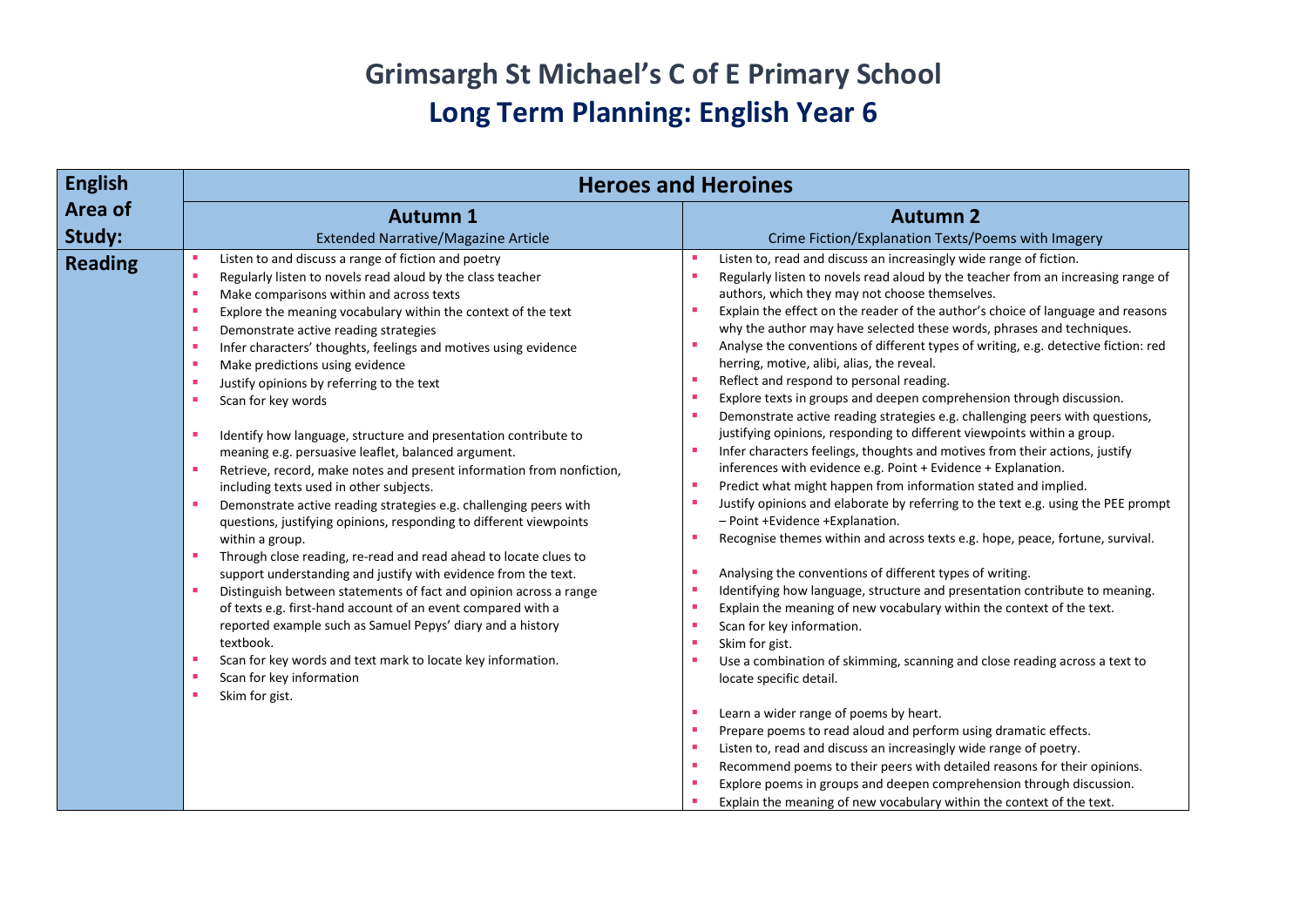| <b>English</b> | <b>Heroes and Heroines</b>                                                                                                                                                                                                                                                                                                                                                                                                                                                                                                                                                                                                                                                                                                                                                                                                                                                                                                                                                                                                                                                                                                                                                                                                                                                                                                                                                                       |                                                                                                                                                                                                                                                                                                                                                                                                                                                                                                                                                                                                                                                                                                                                                                                                                                                                                                                                                                                                                                                                                                                                                                                                                                                                                                                                                                                                                                                                                                                                                                                                                                                                                                                                                                                                                                                                                                                                                                                                                                                                                                 |
|----------------|--------------------------------------------------------------------------------------------------------------------------------------------------------------------------------------------------------------------------------------------------------------------------------------------------------------------------------------------------------------------------------------------------------------------------------------------------------------------------------------------------------------------------------------------------------------------------------------------------------------------------------------------------------------------------------------------------------------------------------------------------------------------------------------------------------------------------------------------------------------------------------------------------------------------------------------------------------------------------------------------------------------------------------------------------------------------------------------------------------------------------------------------------------------------------------------------------------------------------------------------------------------------------------------------------------------------------------------------------------------------------------------------------|-------------------------------------------------------------------------------------------------------------------------------------------------------------------------------------------------------------------------------------------------------------------------------------------------------------------------------------------------------------------------------------------------------------------------------------------------------------------------------------------------------------------------------------------------------------------------------------------------------------------------------------------------------------------------------------------------------------------------------------------------------------------------------------------------------------------------------------------------------------------------------------------------------------------------------------------------------------------------------------------------------------------------------------------------------------------------------------------------------------------------------------------------------------------------------------------------------------------------------------------------------------------------------------------------------------------------------------------------------------------------------------------------------------------------------------------------------------------------------------------------------------------------------------------------------------------------------------------------------------------------------------------------------------------------------------------------------------------------------------------------------------------------------------------------------------------------------------------------------------------------------------------------------------------------------------------------------------------------------------------------------------------------------------------------------------------------------------------------|
| Area of        | <b>Autumn 1</b>                                                                                                                                                                                                                                                                                                                                                                                                                                                                                                                                                                                                                                                                                                                                                                                                                                                                                                                                                                                                                                                                                                                                                                                                                                                                                                                                                                                  | <b>Autumn 2</b>                                                                                                                                                                                                                                                                                                                                                                                                                                                                                                                                                                                                                                                                                                                                                                                                                                                                                                                                                                                                                                                                                                                                                                                                                                                                                                                                                                                                                                                                                                                                                                                                                                                                                                                                                                                                                                                                                                                                                                                                                                                                                 |
| Study:         | <b>Extended Narrative/Magazine Article</b>                                                                                                                                                                                                                                                                                                                                                                                                                                                                                                                                                                                                                                                                                                                                                                                                                                                                                                                                                                                                                                                                                                                                                                                                                                                                                                                                                       | Crime Fiction/Explanation Texts/Poems with Imagery                                                                                                                                                                                                                                                                                                                                                                                                                                                                                                                                                                                                                                                                                                                                                                                                                                                                                                                                                                                                                                                                                                                                                                                                                                                                                                                                                                                                                                                                                                                                                                                                                                                                                                                                                                                                                                                                                                                                                                                                                                              |
| <b>Reading</b> | Listen to and discuss a range of fiction and poetry<br>Regularly listen to novels read aloud by the class teacher<br>Make comparisons within and across texts<br>٠<br>Explore the meaning vocabulary within the context of the text<br>٠<br>Demonstrate active reading strategies<br>п<br>Infer characters' thoughts, feelings and motives using evidence<br>Make predictions using evidence<br>п<br>Justify opinions by referring to the text<br>×<br>Scan for key words<br>٠<br>Identify how language, structure and presentation contribute to<br>٠<br>meaning e.g. persuasive leaflet, balanced argument.<br>Retrieve, record, make notes and present information from nonfiction,<br>п<br>including texts used in other subjects.<br>Demonstrate active reading strategies e.g. challenging peers with<br>п<br>questions, justifying opinions, responding to different viewpoints<br>within a group.<br>Through close reading, re-read and read ahead to locate clues to<br>п<br>support understanding and justify with evidence from the text.<br>Distinguish between statements of fact and opinion across a range<br>٠<br>of texts e.g. first-hand account of an event compared with a<br>reported example such as Samuel Pepys' diary and a history<br>textbook.<br>٠<br>Scan for key words and text mark to locate key information.<br>Scan for key information<br>٠<br>Skim for gist. | Listen to, read and discuss an increasingly wide range of fiction.<br>٠<br>Regularly listen to novels read aloud by the teacher from an increasing range of<br>authors, which they may not choose themselves.<br>Explain the effect on the reader of the author's choice of language and reasons<br>٠<br>why the author may have selected these words, phrases and techniques.<br>Analyse the conventions of different types of writing, e.g. detective fiction: red<br>ш<br>herring, motive, alibi, alias, the reveal.<br>Reflect and respond to personal reading.<br>ш<br>Explore texts in groups and deepen comprehension through discussion.<br>Demonstrate active reading strategies e.g. challenging peers with questions,<br>justifying opinions, responding to different viewpoints within a group.<br>Infer characters feelings, thoughts and motives from their actions, justify<br>a.<br>inferences with evidence e.g. Point + Evidence + Explanation.<br>Predict what might happen from information stated and implied.<br>ш<br>Justify opinions and elaborate by referring to the text e.g. using the PEE prompt<br>ш<br>- Point +Evidence +Explanation.<br>Recognise themes within and across texts e.g. hope, peace, fortune, survival.<br>٠<br>Analysing the conventions of different types of writing.<br>ш<br>Identifying how language, structure and presentation contribute to meaning.<br>٠<br>Explain the meaning of new vocabulary within the context of the text.<br>٠<br>Scan for key information.<br>٠<br>Skim for gist.<br>ш<br>Use a combination of skimming, scanning and close reading across a text to<br>locate specific detail.<br>Learn a wider range of poems by heart.<br>a.<br>Prepare poems to read aloud and perform using dramatic effects.<br>п<br>Listen to, read and discuss an increasingly wide range of poetry.<br>п<br>Recommend poems to their peers with detailed reasons for their opinions.<br>Explore poems in groups and deepen comprehension through discussion.<br>Explain the meaning of new vocabulary within the context of the text. |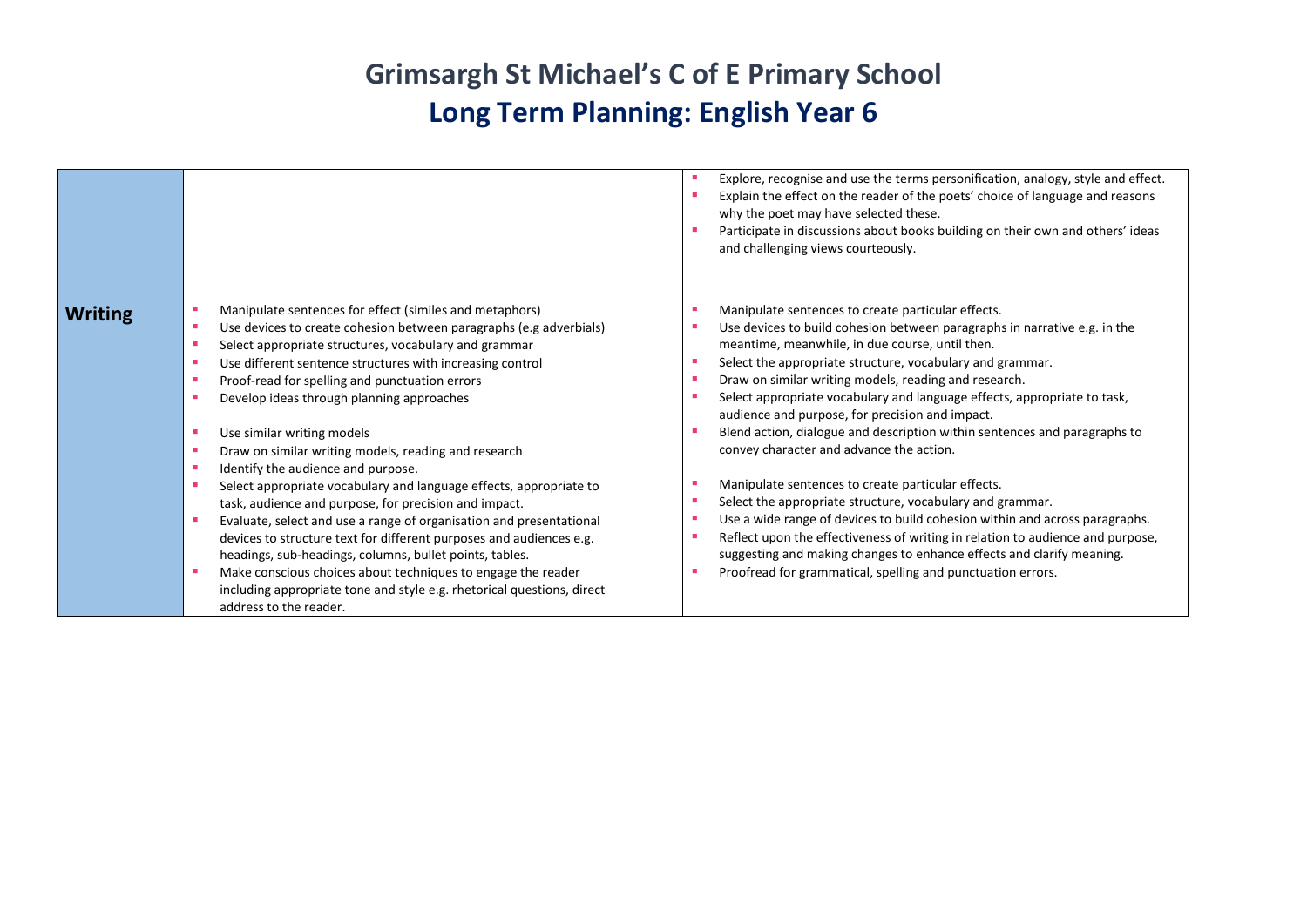|                                                                                                                                                                                                                                                                                                                                                                                                                                                                                                                                                                                                                                                                                                                                                                                                                                                                                                                                                                                    | Explore, recognise and use the terms personification, analogy, style and effect.<br>Explain the effect on the reader of the poets' choice of language and reasons<br>why the poet may have selected these.<br>Participate in discussions about books building on their own and others' ideas<br>and challenging views courteously.                                                                                                                                                                                                                                                                                                                                                                                                                                                                                                                                                                                                                                                           |
|------------------------------------------------------------------------------------------------------------------------------------------------------------------------------------------------------------------------------------------------------------------------------------------------------------------------------------------------------------------------------------------------------------------------------------------------------------------------------------------------------------------------------------------------------------------------------------------------------------------------------------------------------------------------------------------------------------------------------------------------------------------------------------------------------------------------------------------------------------------------------------------------------------------------------------------------------------------------------------|----------------------------------------------------------------------------------------------------------------------------------------------------------------------------------------------------------------------------------------------------------------------------------------------------------------------------------------------------------------------------------------------------------------------------------------------------------------------------------------------------------------------------------------------------------------------------------------------------------------------------------------------------------------------------------------------------------------------------------------------------------------------------------------------------------------------------------------------------------------------------------------------------------------------------------------------------------------------------------------------|
| Manipulate sentences for effect (similes and metaphors)<br><b>Writing</b><br>Use devices to create cohesion between paragraphs (e.g adverbials)<br>Select appropriate structures, vocabulary and grammar<br>Use different sentence structures with increasing control<br>Proof-read for spelling and punctuation errors<br>Develop ideas through planning approaches<br>Use similar writing models<br>Draw on similar writing models, reading and research<br>Identify the audience and purpose.<br>Select appropriate vocabulary and language effects, appropriate to<br>task, audience and purpose, for precision and impact.<br>Evaluate, select and use a range of organisation and presentational<br>devices to structure text for different purposes and audiences e.g.<br>headings, sub-headings, columns, bullet points, tables.<br>Make conscious choices about techniques to engage the reader<br>including appropriate tone and style e.g. rhetorical questions, direct | Manipulate sentences to create particular effects.<br>Use devices to build cohesion between paragraphs in narrative e.g. in the<br>meantime, meanwhile, in due course, until then.<br>Select the appropriate structure, vocabulary and grammar.<br>Draw on similar writing models, reading and research.<br>Select appropriate vocabulary and language effects, appropriate to task,<br>audience and purpose, for precision and impact.<br>Blend action, dialogue and description within sentences and paragraphs to<br>convey character and advance the action.<br>Manipulate sentences to create particular effects.<br>Select the appropriate structure, vocabulary and grammar.<br>Use a wide range of devices to build cohesion within and across paragraphs.<br>Reflect upon the effectiveness of writing in relation to audience and purpose,<br>suggesting and making changes to enhance effects and clarify meaning.<br>Proofread for grammatical, spelling and punctuation errors. |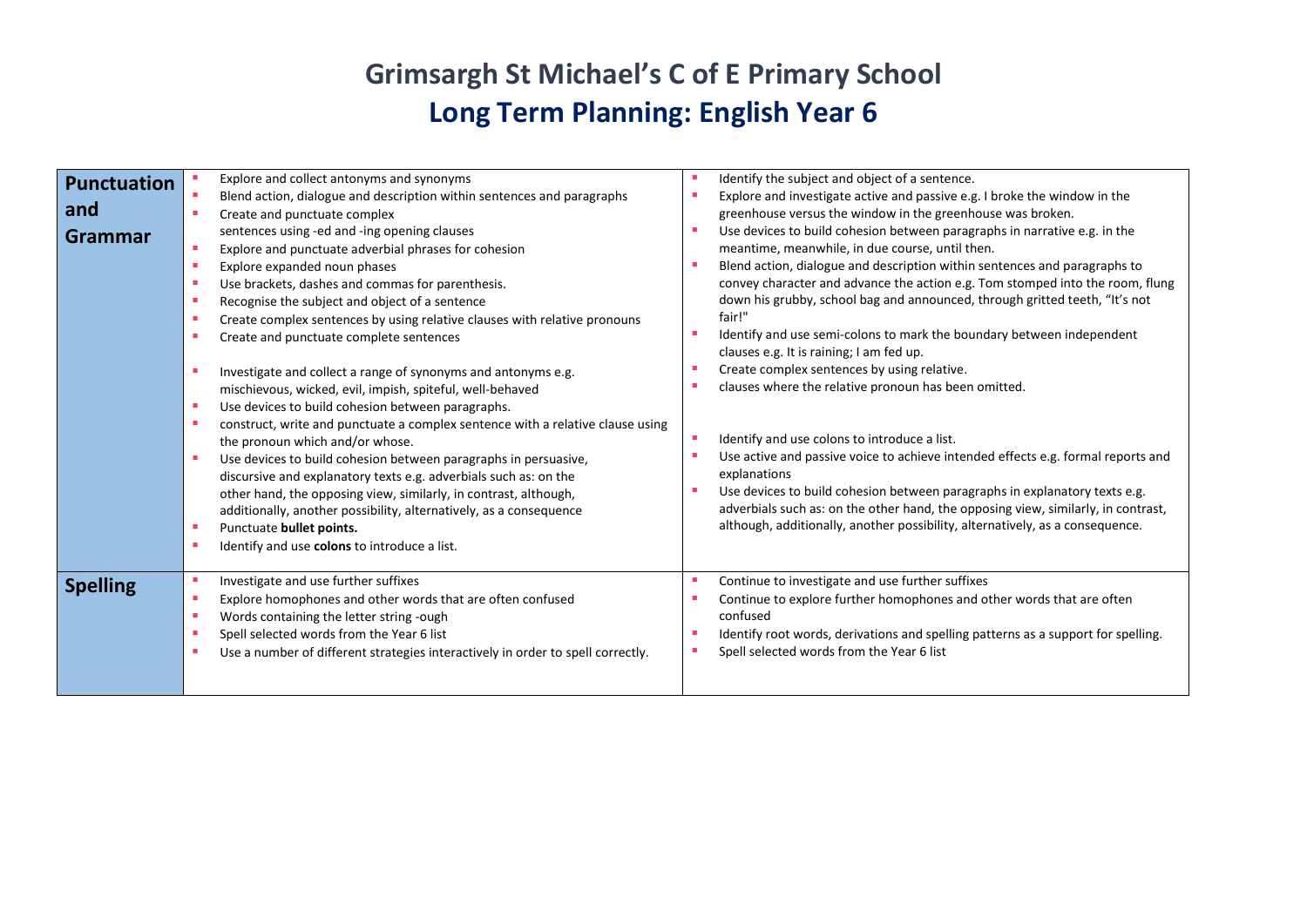| <b>Punctuation</b> | Explore and collect antonyms and synonyms                                       | Identify the subject and object of a sentence.                                             |
|--------------------|---------------------------------------------------------------------------------|--------------------------------------------------------------------------------------------|
|                    | Blend action, dialogue and description within sentences and paragraphs          | Explore and investigate active and passive e.g. I broke the window in the                  |
| and                | Create and punctuate complex                                                    | greenhouse versus the window in the greenhouse was broken.                                 |
| Grammar            | sentences using -ed and -ing opening clauses                                    | Use devices to build cohesion between paragraphs in narrative e.g. in the                  |
|                    | Explore and punctuate adverbial phrases for cohesion                            | meantime, meanwhile, in due course, until then.                                            |
|                    | Explore expanded noun phases                                                    | Blend action, dialogue and description within sentences and paragraphs to                  |
|                    | Use brackets, dashes and commas for parenthesis.                                | convey character and advance the action e.g. Tom stomped into the room, flung              |
|                    | Recognise the subject and object of a sentence                                  | down his grubby, school bag and announced, through gritted teeth, "It's not                |
|                    | Create complex sentences by using relative clauses with relative pronouns       | fair!"                                                                                     |
|                    | Create and punctuate complete sentences                                         | Identify and use semi-colons to mark the boundary between independent<br><b>CONTRACTOR</b> |
|                    |                                                                                 | clauses e.g. It is raining; I am fed up.                                                   |
|                    | Investigate and collect a range of synonyms and antonyms e.g.                   | Create complex sentences by using relative.                                                |
|                    | mischievous, wicked, evil, impish, spiteful, well-behaved                       | clauses where the relative pronoun has been omitted.                                       |
|                    | Use devices to build cohesion between paragraphs.                               |                                                                                            |
|                    | construct, write and punctuate a complex sentence with a relative clause using  |                                                                                            |
|                    | the pronoun which and/or whose.                                                 | Identify and use colons to introduce a list.                                               |
|                    | Use devices to build cohesion between paragraphs in persuasive,                 | Use active and passive voice to achieve intended effects e.g. formal reports and           |
|                    | discursive and explanatory texts e.g. adverbials such as: on the                | explanations                                                                               |
|                    | other hand, the opposing view, similarly, in contrast, although,                | Use devices to build cohesion between paragraphs in explanatory texts e.g.                 |
|                    | additionally, another possibility, alternatively, as a consequence              | adverbials such as: on the other hand, the opposing view, similarly, in contrast,          |
|                    | Punctuate bullet points.                                                        | although, additionally, another possibility, alternatively, as a consequence.              |
|                    | Identify and use colons to introduce a list.                                    |                                                                                            |
|                    |                                                                                 |                                                                                            |
| <b>Spelling</b>    | Investigate and use further suffixes                                            | Continue to investigate and use further suffixes                                           |
|                    | Explore homophones and other words that are often confused                      | Continue to explore further homophones and other words that are often                      |
|                    | Words containing the letter string -ough                                        | confused                                                                                   |
|                    | Spell selected words from the Year 6 list                                       | Identify root words, derivations and spelling patterns as a support for spelling.          |
|                    | Use a number of different strategies interactively in order to spell correctly. | Spell selected words from the Year 6 list                                                  |
|                    |                                                                                 |                                                                                            |
|                    |                                                                                 |                                                                                            |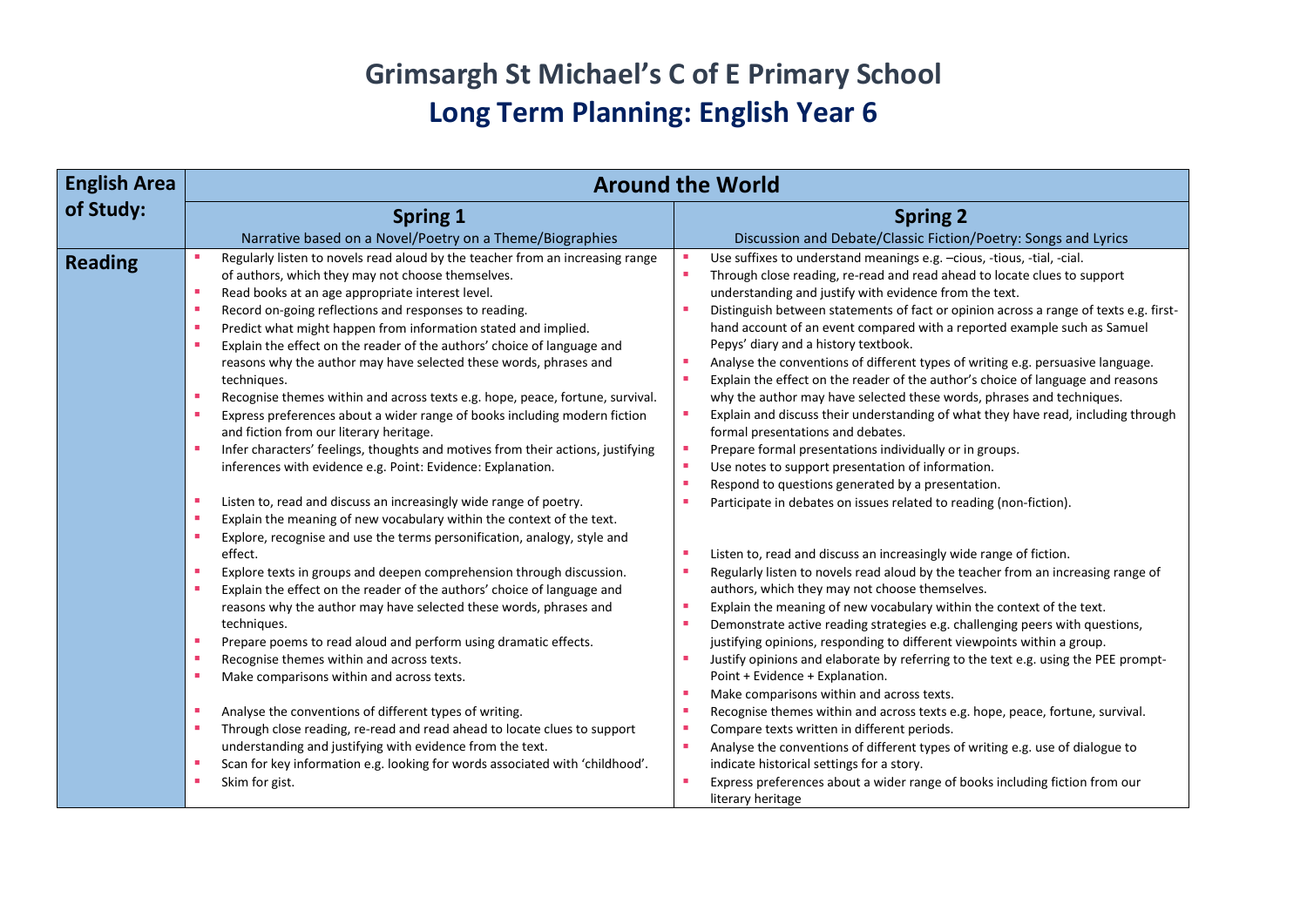| <b>English Area</b> |                                                                                                                                                                                                                                                                                                                                                                                                                                                                                                                                                                                                                                                                                                                                                                                                                                                                                                                                                                                             | <b>Around the World</b>                                                                                                                                                                                                                                                                                                                                                                                                                                                                                                                                                                                                                                                                                                                                                                                                                                                                                                                                                                                                                                                                                           |
|---------------------|---------------------------------------------------------------------------------------------------------------------------------------------------------------------------------------------------------------------------------------------------------------------------------------------------------------------------------------------------------------------------------------------------------------------------------------------------------------------------------------------------------------------------------------------------------------------------------------------------------------------------------------------------------------------------------------------------------------------------------------------------------------------------------------------------------------------------------------------------------------------------------------------------------------------------------------------------------------------------------------------|-------------------------------------------------------------------------------------------------------------------------------------------------------------------------------------------------------------------------------------------------------------------------------------------------------------------------------------------------------------------------------------------------------------------------------------------------------------------------------------------------------------------------------------------------------------------------------------------------------------------------------------------------------------------------------------------------------------------------------------------------------------------------------------------------------------------------------------------------------------------------------------------------------------------------------------------------------------------------------------------------------------------------------------------------------------------------------------------------------------------|
| of Study:           | <b>Spring 1</b>                                                                                                                                                                                                                                                                                                                                                                                                                                                                                                                                                                                                                                                                                                                                                                                                                                                                                                                                                                             | <b>Spring 2</b>                                                                                                                                                                                                                                                                                                                                                                                                                                                                                                                                                                                                                                                                                                                                                                                                                                                                                                                                                                                                                                                                                                   |
|                     | Narrative based on a Novel/Poetry on a Theme/Biographies                                                                                                                                                                                                                                                                                                                                                                                                                                                                                                                                                                                                                                                                                                                                                                                                                                                                                                                                    | Discussion and Debate/Classic Fiction/Poetry: Songs and Lyrics                                                                                                                                                                                                                                                                                                                                                                                                                                                                                                                                                                                                                                                                                                                                                                                                                                                                                                                                                                                                                                                    |
| <b>Reading</b>      | Regularly listen to novels read aloud by the teacher from an increasing range<br>٠<br>of authors, which they may not choose themselves.<br>Read books at an age appropriate interest level.<br>л<br>Record on-going reflections and responses to reading.<br>п.<br>Predict what might happen from information stated and implied.<br>Explain the effect on the reader of the authors' choice of language and<br>reasons why the author may have selected these words, phrases and<br>techniques.<br>Recognise themes within and across texts e.g. hope, peace, fortune, survival.<br>×<br>Express preferences about a wider range of books including modern fiction<br>and fiction from our literary heritage.<br>Infer characters' feelings, thoughts and motives from their actions, justifying<br>л<br>inferences with evidence e.g. Point: Evidence: Explanation.<br>п.                                                                                                                 | л<br>Use suffixes to understand meanings e.g. -cious, -tious, -tial, -cial.<br>$\mathbf{r}$<br>Through close reading, re-read and read ahead to locate clues to support<br>understanding and justify with evidence from the text.<br>Distinguish between statements of fact or opinion across a range of texts e.g. first-<br>hand account of an event compared with a reported example such as Samuel<br>Pepys' diary and a history textbook.<br>Analyse the conventions of different types of writing e.g. persuasive language.<br>Explain the effect on the reader of the author's choice of language and reasons<br>why the author may have selected these words, phrases and techniques.<br>Explain and discuss their understanding of what they have read, including through<br>formal presentations and debates.<br>Prepare formal presentations individually or in groups.<br>л<br>Use notes to support presentation of information.<br>п<br>Respond to questions generated by a presentation.<br>п<br>л                                                                                                  |
|                     | Listen to, read and discuss an increasingly wide range of poetry.<br>Explain the meaning of new vocabulary within the context of the text.<br>Explore, recognise and use the terms personification, analogy, style and<br>п.<br>effect.<br>Explore texts in groups and deepen comprehension through discussion.<br>×<br>Explain the effect on the reader of the authors' choice of language and<br>reasons why the author may have selected these words, phrases and<br>techniques.<br>Prepare poems to read aloud and perform using dramatic effects.<br>ш<br>Recognise themes within and across texts.<br>×<br>Make comparisons within and across texts.<br>л<br>Analyse the conventions of different types of writing.<br>л<br>Through close reading, re-read and read ahead to locate clues to support<br><b>CO</b><br>understanding and justifying with evidence from the text.<br>Scan for key information e.g. looking for words associated with 'childhood'.<br>×<br>Skim for gist. | Participate in debates on issues related to reading (non-fiction).<br>Listen to, read and discuss an increasingly wide range of fiction.<br><b>CO</b><br>×<br>Regularly listen to novels read aloud by the teacher from an increasing range of<br>authors, which they may not choose themselves.<br>×<br>Explain the meaning of new vocabulary within the context of the text.<br>Demonstrate active reading strategies e.g. challenging peers with questions,<br>justifying opinions, responding to different viewpoints within a group.<br>×<br>Justify opinions and elaborate by referring to the text e.g. using the PEE prompt-<br>Point + Evidence + Explanation.<br>Make comparisons within and across texts.<br>л<br>Recognise themes within and across texts e.g. hope, peace, fortune, survival.<br>л<br>Compare texts written in different periods.<br><b>I</b><br>л<br>Analyse the conventions of different types of writing e.g. use of dialogue to<br>indicate historical settings for a story.<br>Express preferences about a wider range of books including fiction from our<br>literary heritage |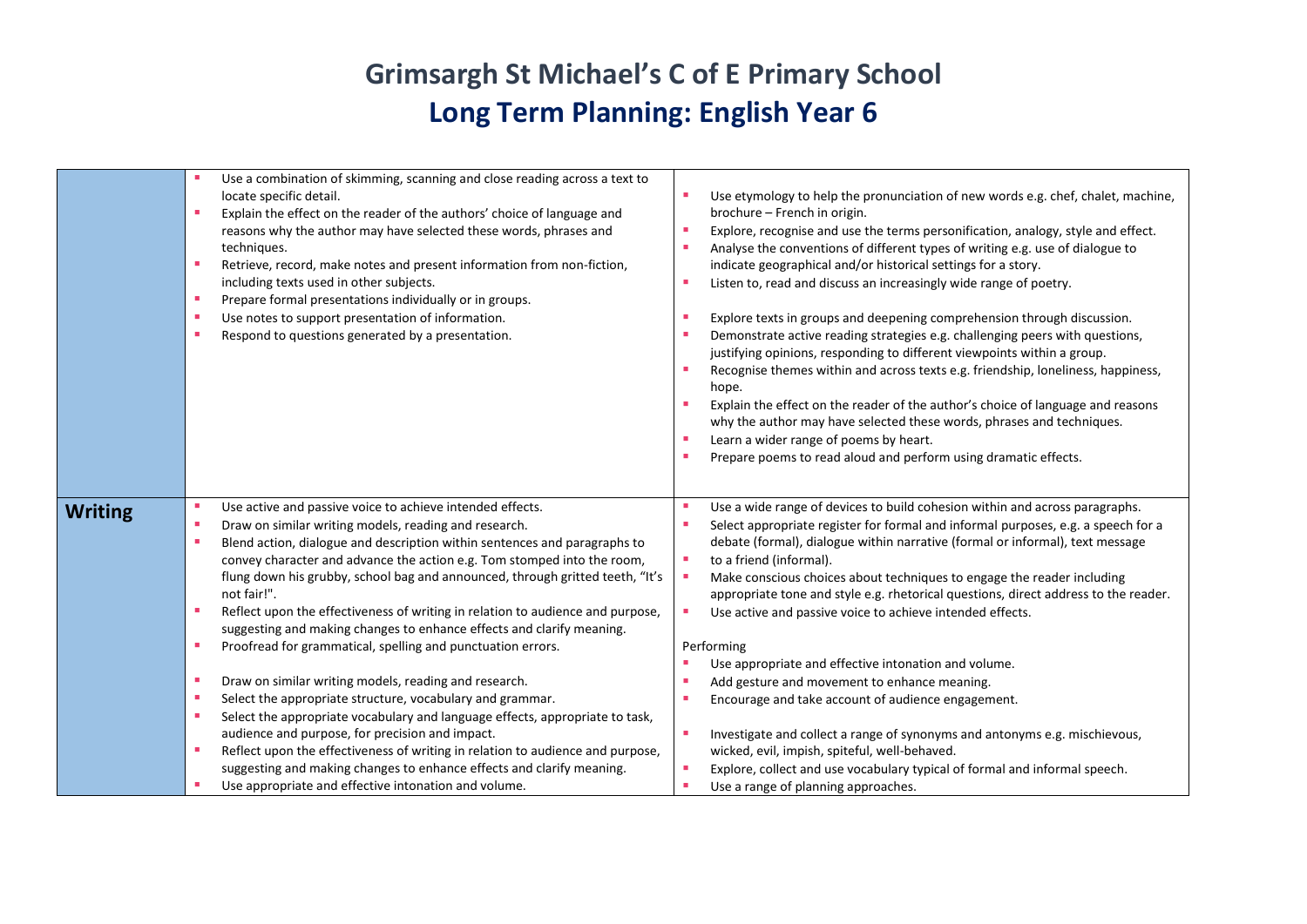|                | Use a combination of skimming, scanning and close reading across a text to          |                                                                                                                                                         |
|----------------|-------------------------------------------------------------------------------------|---------------------------------------------------------------------------------------------------------------------------------------------------------|
|                | locate specific detail.                                                             | Use etymology to help the pronunciation of new words e.g. chef, chalet, machine,                                                                        |
|                | Explain the effect on the reader of the authors' choice of language and<br>٠        | brochure - French in origin.                                                                                                                            |
|                | reasons why the author may have selected these words, phrases and                   | Explore, recognise and use the terms personification, analogy, style and effect.                                                                        |
|                | techniques.                                                                         | Analyse the conventions of different types of writing e.g. use of dialogue to                                                                           |
|                | Retrieve, record, make notes and present information from non-fiction,<br>л         | indicate geographical and/or historical settings for a story.                                                                                           |
|                | including texts used in other subjects.                                             | Listen to, read and discuss an increasingly wide range of poetry.                                                                                       |
|                | Prepare formal presentations individually or in groups.                             |                                                                                                                                                         |
|                | Use notes to support presentation of information.<br>л                              | Explore texts in groups and deepening comprehension through discussion.                                                                                 |
|                | Respond to questions generated by a presentation.                                   | Demonstrate active reading strategies e.g. challenging peers with questions,<br>justifying opinions, responding to different viewpoints within a group. |
|                |                                                                                     | Recognise themes within and across texts e.g. friendship, loneliness, happiness,                                                                        |
|                |                                                                                     | hope.                                                                                                                                                   |
|                |                                                                                     | Explain the effect on the reader of the author's choice of language and reasons                                                                         |
|                |                                                                                     | why the author may have selected these words, phrases and techniques.                                                                                   |
|                |                                                                                     | Learn a wider range of poems by heart.                                                                                                                  |
|                |                                                                                     | Prepare poems to read aloud and perform using dramatic effects.                                                                                         |
|                |                                                                                     |                                                                                                                                                         |
|                | Use active and passive voice to achieve intended effects.                           | Use a wide range of devices to build cohesion within and across paragraphs.                                                                             |
| <b>Writing</b> | Draw on similar writing models, reading and research.                               | Select appropriate register for formal and informal purposes, e.g. a speech for a                                                                       |
|                | Blend action, dialogue and description within sentences and paragraphs to<br>п.     | debate (formal), dialogue within narrative (formal or informal), text message                                                                           |
|                | convey character and advance the action e.g. Tom stomped into the room,             | to a friend (informal).                                                                                                                                 |
|                | flung down his grubby, school bag and announced, through gritted teeth, "It's       | Make conscious choices about techniques to engage the reader including                                                                                  |
|                | not fair!".                                                                         | appropriate tone and style e.g. rhetorical questions, direct address to the reader.                                                                     |
|                | Reflect upon the effectiveness of writing in relation to audience and purpose,      | Use active and passive voice to achieve intended effects.                                                                                               |
|                | suggesting and making changes to enhance effects and clarify meaning.               |                                                                                                                                                         |
|                | Proofread for grammatical, spelling and punctuation errors.<br>×                    | Performing                                                                                                                                              |
|                |                                                                                     | Use appropriate and effective intonation and volume.                                                                                                    |
|                | Draw on similar writing models, reading and research.<br>×                          | Add gesture and movement to enhance meaning.                                                                                                            |
|                | Select the appropriate structure, vocabulary and grammar.<br>×                      | Encourage and take account of audience engagement.                                                                                                      |
|                | Select the appropriate vocabulary and language effects, appropriate to task,<br>×   |                                                                                                                                                         |
|                | audience and purpose, for precision and impact.                                     | ٠<br>Investigate and collect a range of synonyms and antonyms e.g. mischievous,                                                                         |
|                | Reflect upon the effectiveness of writing in relation to audience and purpose,<br>٠ | wicked, evil, impish, spiteful, well-behaved.                                                                                                           |
|                | suggesting and making changes to enhance effects and clarify meaning.               | Explore, collect and use vocabulary typical of formal and informal speech.                                                                              |
|                | Use appropriate and effective intonation and volume.                                | Use a range of planning approaches.                                                                                                                     |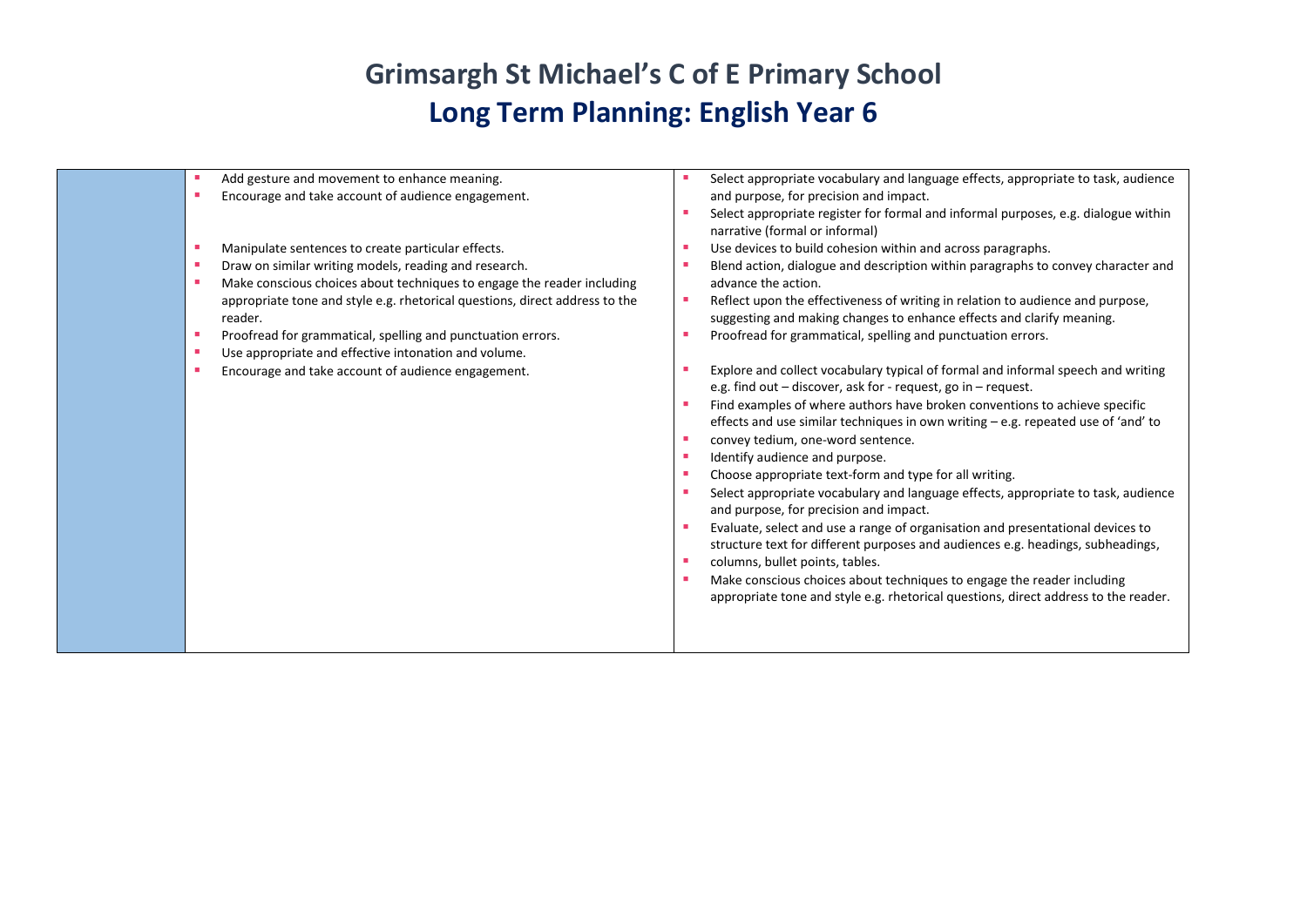| Add gesture and movement to enhance meaning.                                | Select appropriate vocabulary and language effects, appropriate to task, audience                                           |
|-----------------------------------------------------------------------------|-----------------------------------------------------------------------------------------------------------------------------|
| Encourage and take account of audience engagement.                          | and purpose, for precision and impact.                                                                                      |
|                                                                             | Select appropriate register for formal and informal purposes, e.g. dialogue within<br>narrative (formal or informal)        |
| Manipulate sentences to create particular effects.                          | Use devices to build cohesion within and across paragraphs.                                                                 |
| Draw on similar writing models, reading and research.                       | Blend action, dialogue and description within paragraphs to convey character and                                            |
| Make conscious choices about techniques to engage the reader including      | advance the action.                                                                                                         |
| appropriate tone and style e.g. rhetorical questions, direct address to the | Reflect upon the effectiveness of writing in relation to audience and purpose,                                              |
| reader.                                                                     | suggesting and making changes to enhance effects and clarify meaning.                                                       |
| Proofread for grammatical, spelling and punctuation errors.                 | Proofread for grammatical, spelling and punctuation errors.                                                                 |
| Use appropriate and effective intonation and volume.                        |                                                                                                                             |
| Encourage and take account of audience engagement.                          | Explore and collect vocabulary typical of formal and informal speech and writing                                            |
|                                                                             | e.g. find out - discover, ask for - request, go in - request.                                                               |
|                                                                             | Find examples of where authors have broken conventions to achieve specific                                                  |
|                                                                             | effects and use similar techniques in own writing $-e.g.$ repeated use of 'and' to                                          |
|                                                                             | convey tedium, one-word sentence.                                                                                           |
|                                                                             | Identify audience and purpose.                                                                                              |
|                                                                             | Choose appropriate text-form and type for all writing.                                                                      |
|                                                                             | Select appropriate vocabulary and language effects, appropriate to task, audience<br>and purpose, for precision and impact. |
|                                                                             | Evaluate, select and use a range of organisation and presentational devices to                                              |
|                                                                             | structure text for different purposes and audiences e.g. headings, subheadings,                                             |
|                                                                             | columns, bullet points, tables.                                                                                             |
|                                                                             | Make conscious choices about techniques to engage the reader including                                                      |
|                                                                             | appropriate tone and style e.g. rhetorical questions, direct address to the reader.                                         |
|                                                                             |                                                                                                                             |
|                                                                             |                                                                                                                             |
|                                                                             |                                                                                                                             |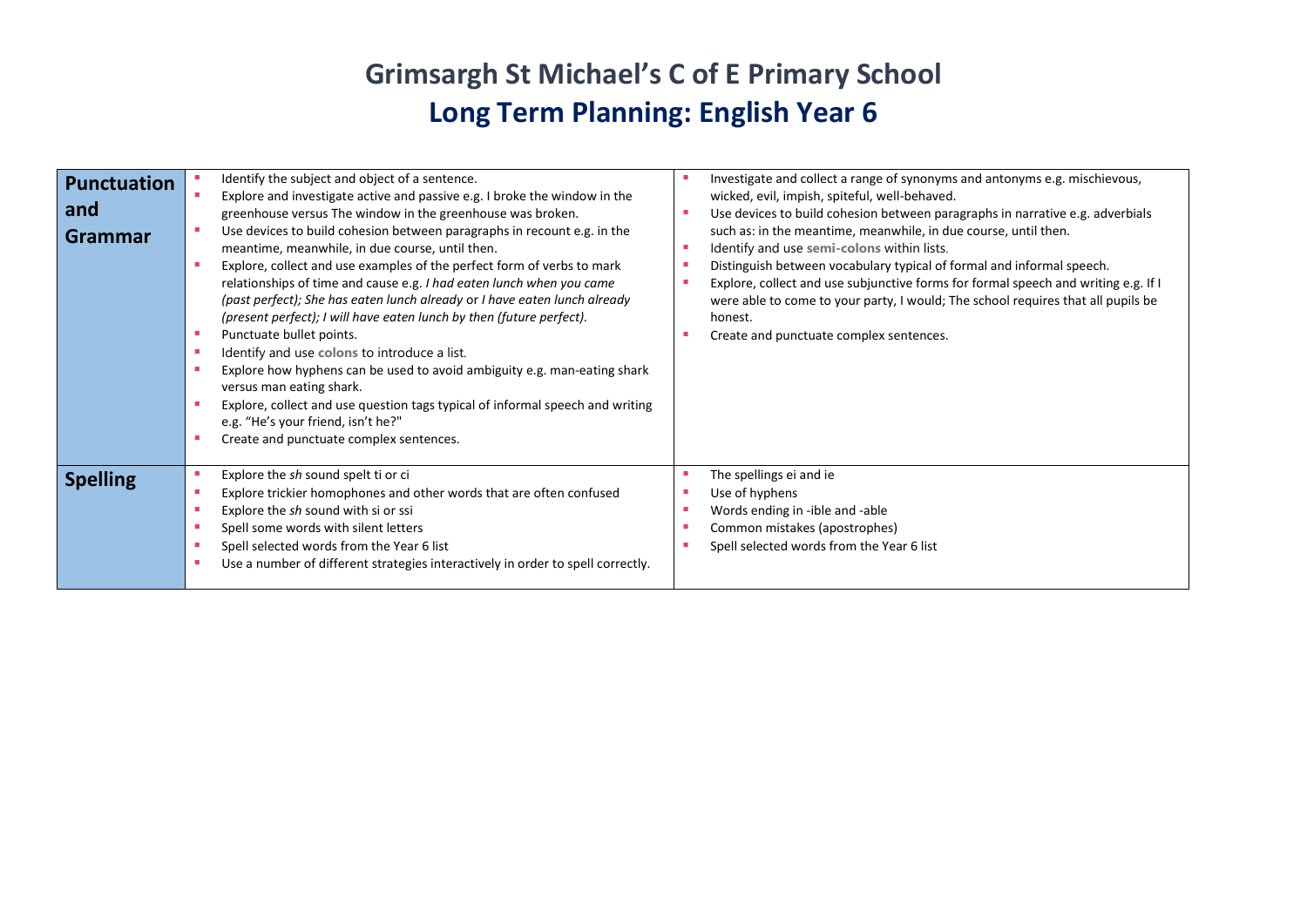| <b>Punctuation</b><br>and<br>Grammar | Identify the subject and object of a sentence.<br>Explore and investigate active and passive e.g. I broke the window in the<br>greenhouse versus The window in the greenhouse was broken.<br>Use devices to build cohesion between paragraphs in recount e.g. in the<br>meantime, meanwhile, in due course, until then.<br>Explore, collect and use examples of the perfect form of verbs to mark<br>relationships of time and cause e.g. I had eaten lunch when you came<br>(past perfect); She has eaten lunch already or I have eaten lunch already<br>(present perfect); I will have eaten lunch by then (future perfect).<br>Punctuate bullet points.<br>Identify and use colons to introduce a list.<br>Explore how hyphens can be used to avoid ambiguity e.g. man-eating shark<br>versus man eating shark.<br>Explore, collect and use question tags typical of informal speech and writing<br>e.g. "He's your friend, isn't he?"<br>Create and punctuate complex sentences.<br>٠ | Investigate and collect a range of synonyms and antonyms e.g. mischievous,<br>wicked, evil, impish, spiteful, well-behaved.<br>Use devices to build cohesion between paragraphs in narrative e.g. adverbials<br>such as: in the meantime, meanwhile, in due course, until then.<br>Identify and use semi-colons within lists.<br>Distinguish between vocabulary typical of formal and informal speech.<br>Explore, collect and use subjunctive forms for formal speech and writing e.g. If I<br>were able to come to your party, I would; The school requires that all pupils be<br>honest.<br>Create and punctuate complex sentences. |
|--------------------------------------|-------------------------------------------------------------------------------------------------------------------------------------------------------------------------------------------------------------------------------------------------------------------------------------------------------------------------------------------------------------------------------------------------------------------------------------------------------------------------------------------------------------------------------------------------------------------------------------------------------------------------------------------------------------------------------------------------------------------------------------------------------------------------------------------------------------------------------------------------------------------------------------------------------------------------------------------------------------------------------------------|----------------------------------------------------------------------------------------------------------------------------------------------------------------------------------------------------------------------------------------------------------------------------------------------------------------------------------------------------------------------------------------------------------------------------------------------------------------------------------------------------------------------------------------------------------------------------------------------------------------------------------------|
| <b>Spelling</b>                      | Explore the sh sound spelt ti or ci<br>Explore trickier homophones and other words that are often confused<br>Explore the sh sound with si or ssi<br>Spell some words with silent letters<br>Spell selected words from the Year 6 list<br>Use a number of different strategies interactively in order to spell correctly.<br>п                                                                                                                                                                                                                                                                                                                                                                                                                                                                                                                                                                                                                                                            | The spellings ei and ie<br>Use of hyphens<br>Words ending in -ible and -able<br>Common mistakes (apostrophes)<br>Spell selected words from the Year 6 list                                                                                                                                                                                                                                                                                                                                                                                                                                                                             |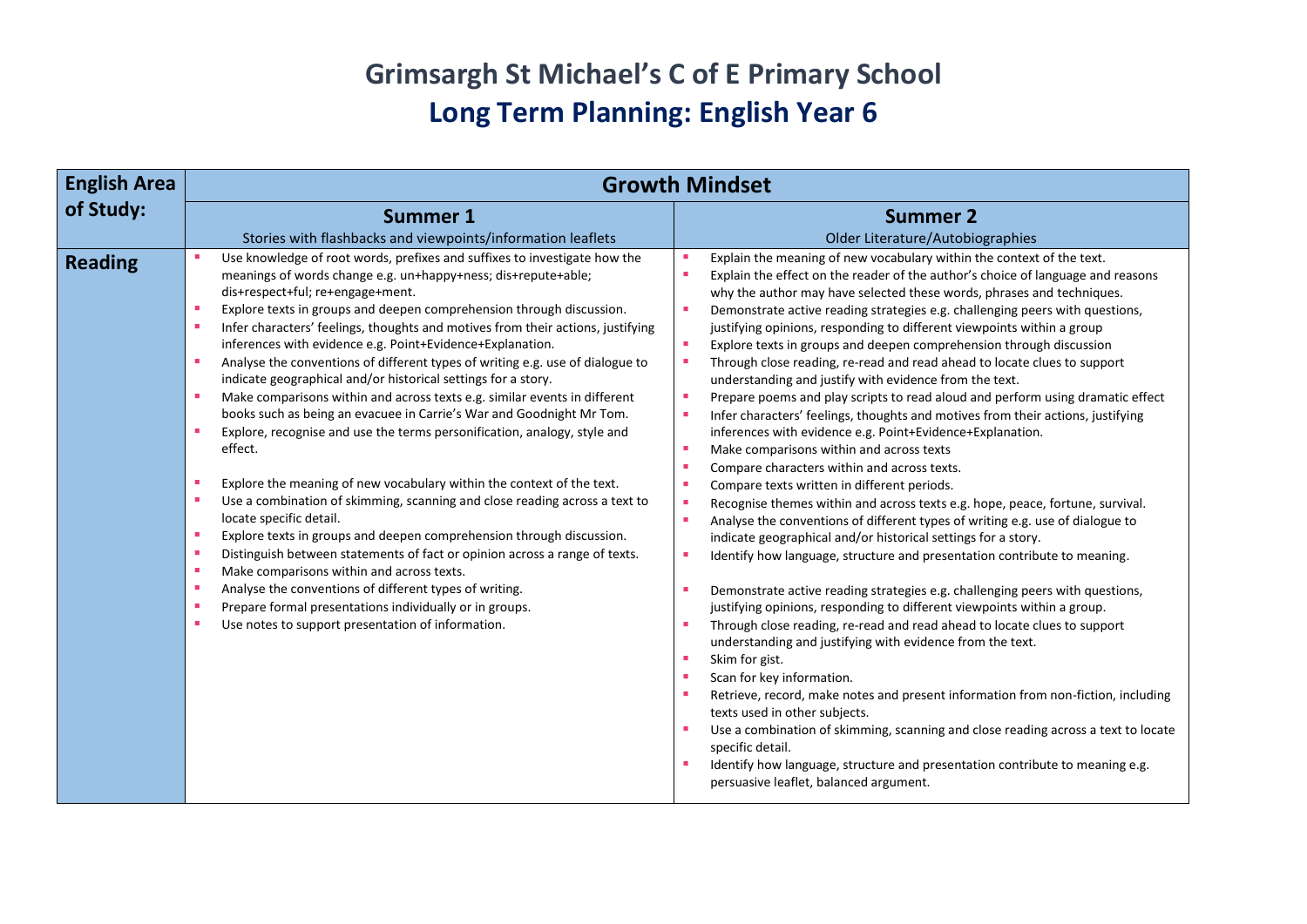| <b>English Area</b> |                                                                                                                                                                                                                                                                                                                                                                                                                                                                                                                                                                                                                                                                                                                                                                                                                                                                                                                                                                                                                                                                                                                                                                                                                                                                                                                                                                                                                                                                                                            | <b>Growth Mindset</b>                                                                                                                                                                                                                                                                                                                                                                                                                                                                                                                                                                                                                                                                                                                                                                                                                                                                                                                                                                                                                                                                                                                                                                                                                                                                                                                                                                                                                                                                                                                                                                                                                                                                                                                                                                                                                                                                                                                                                                                                                                                                             |
|---------------------|------------------------------------------------------------------------------------------------------------------------------------------------------------------------------------------------------------------------------------------------------------------------------------------------------------------------------------------------------------------------------------------------------------------------------------------------------------------------------------------------------------------------------------------------------------------------------------------------------------------------------------------------------------------------------------------------------------------------------------------------------------------------------------------------------------------------------------------------------------------------------------------------------------------------------------------------------------------------------------------------------------------------------------------------------------------------------------------------------------------------------------------------------------------------------------------------------------------------------------------------------------------------------------------------------------------------------------------------------------------------------------------------------------------------------------------------------------------------------------------------------------|---------------------------------------------------------------------------------------------------------------------------------------------------------------------------------------------------------------------------------------------------------------------------------------------------------------------------------------------------------------------------------------------------------------------------------------------------------------------------------------------------------------------------------------------------------------------------------------------------------------------------------------------------------------------------------------------------------------------------------------------------------------------------------------------------------------------------------------------------------------------------------------------------------------------------------------------------------------------------------------------------------------------------------------------------------------------------------------------------------------------------------------------------------------------------------------------------------------------------------------------------------------------------------------------------------------------------------------------------------------------------------------------------------------------------------------------------------------------------------------------------------------------------------------------------------------------------------------------------------------------------------------------------------------------------------------------------------------------------------------------------------------------------------------------------------------------------------------------------------------------------------------------------------------------------------------------------------------------------------------------------------------------------------------------------------------------------------------------------|
| of Study:           | <b>Summer 1</b>                                                                                                                                                                                                                                                                                                                                                                                                                                                                                                                                                                                                                                                                                                                                                                                                                                                                                                                                                                                                                                                                                                                                                                                                                                                                                                                                                                                                                                                                                            | <b>Summer 2</b>                                                                                                                                                                                                                                                                                                                                                                                                                                                                                                                                                                                                                                                                                                                                                                                                                                                                                                                                                                                                                                                                                                                                                                                                                                                                                                                                                                                                                                                                                                                                                                                                                                                                                                                                                                                                                                                                                                                                                                                                                                                                                   |
|                     | Stories with flashbacks and viewpoints/information leaflets                                                                                                                                                                                                                                                                                                                                                                                                                                                                                                                                                                                                                                                                                                                                                                                                                                                                                                                                                                                                                                                                                                                                                                                                                                                                                                                                                                                                                                                | Older Literature/Autobiographies                                                                                                                                                                                                                                                                                                                                                                                                                                                                                                                                                                                                                                                                                                                                                                                                                                                                                                                                                                                                                                                                                                                                                                                                                                                                                                                                                                                                                                                                                                                                                                                                                                                                                                                                                                                                                                                                                                                                                                                                                                                                  |
| <b>Reading</b>      | Use knowledge of root words, prefixes and suffixes to investigate how the<br>×<br>meanings of words change e.g. un+happy+ness; dis+repute+able;<br>dis+respect+ful; re+engage+ment.<br>Explore texts in groups and deepen comprehension through discussion.<br><b>CONTRACT</b><br>Infer characters' feelings, thoughts and motives from their actions, justifying<br>л<br>inferences with evidence e.g. Point+Evidence+Explanation.<br>Analyse the conventions of different types of writing e.g. use of dialogue to<br><b>CO</b><br>indicate geographical and/or historical settings for a story.<br>Make comparisons within and across texts e.g. similar events in different<br><b>CO</b><br>books such as being an evacuee in Carrie's War and Goodnight Mr Tom.<br>Explore, recognise and use the terms personification, analogy, style and<br><b>CO</b><br>effect.<br>Explore the meaning of new vocabulary within the context of the text.<br>л<br>Use a combination of skimming, scanning and close reading across a text to<br>×.<br>locate specific detail.<br>Explore texts in groups and deepen comprehension through discussion.<br>a.<br>Distinguish between statements of fact or opinion across a range of texts.<br><b>CO</b><br>Make comparisons within and across texts.<br>a.<br>Analyse the conventions of different types of writing.<br><b>CO</b><br>×<br>Prepare formal presentations individually or in groups.<br>Use notes to support presentation of information.<br><b>CO</b> | Explain the meaning of new vocabulary within the context of the text.<br>×<br>Explain the effect on the reader of the author's choice of language and reasons<br>×<br>why the author may have selected these words, phrases and techniques.<br>Demonstrate active reading strategies e.g. challenging peers with questions,<br>п<br>justifying opinions, responding to different viewpoints within a group<br>Explore texts in groups and deepen comprehension through discussion<br>Through close reading, re-read and read ahead to locate clues to support<br>understanding and justify with evidence from the text.<br>Prepare poems and play scripts to read aloud and perform using dramatic effect<br>×<br>Infer characters' feelings, thoughts and motives from their actions, justifying<br>inferences with evidence e.g. Point+Evidence+Explanation.<br>Make comparisons within and across texts<br><b>D</b><br>Compare characters within and across texts.<br>×<br>Compare texts written in different periods.<br>×<br>Recognise themes within and across texts e.g. hope, peace, fortune, survival.<br>×<br>×<br>Analyse the conventions of different types of writing e.g. use of dialogue to<br>indicate geographical and/or historical settings for a story.<br>Identify how language, structure and presentation contribute to meaning.<br>Demonstrate active reading strategies e.g. challenging peers with questions,<br>justifying opinions, responding to different viewpoints within a group.<br>Through close reading, re-read and read ahead to locate clues to support<br>understanding and justifying with evidence from the text.<br><b>CO</b><br>Skim for gist.<br>Scan for key information.<br><b>I</b><br>Retrieve, record, make notes and present information from non-fiction, including<br>texts used in other subjects.<br>Use a combination of skimming, scanning and close reading across a text to locate<br>a.<br>specific detail.<br>Identify how language, structure and presentation contribute to meaning e.g.<br>persuasive leaflet, balanced argument. |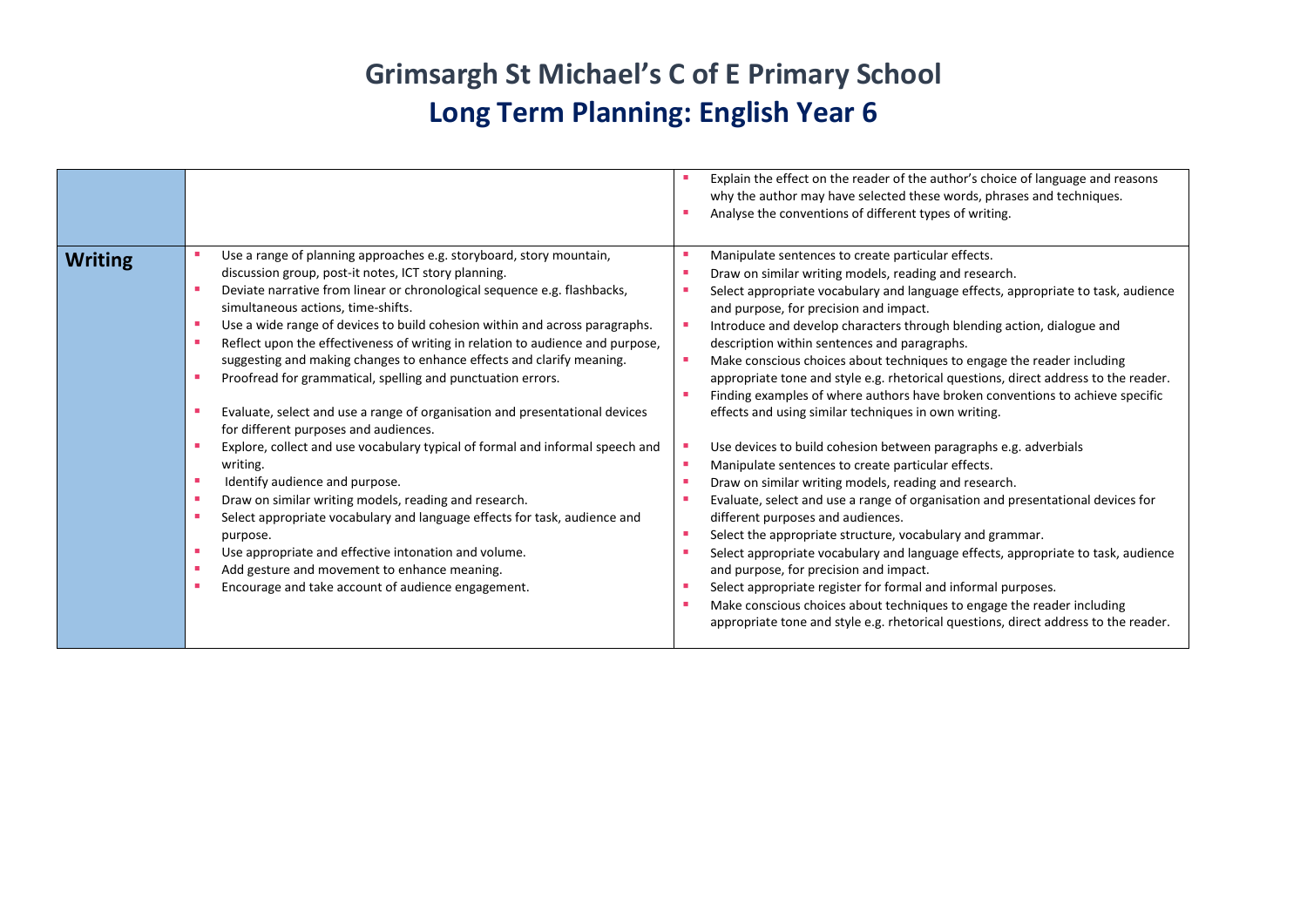|                |                                                                                                                                                                                                                                                                                                                                                                                                                                                                                                                                                                                                                                                                                                                                                                                                                                                                                                                                                                                                                                                                                                                               | Explain the effect on the reader of the author's choice of language and reasons<br>why the author may have selected these words, phrases and techniques.<br>Analyse the conventions of different types of writing.                                                                                                                                                                                                                                                                                                                                                                                                                                                                                                                                                                                                                                                                                                                                                                                                                                                                                                                                                                                                                                                                                                                                                                                                                     |
|----------------|-------------------------------------------------------------------------------------------------------------------------------------------------------------------------------------------------------------------------------------------------------------------------------------------------------------------------------------------------------------------------------------------------------------------------------------------------------------------------------------------------------------------------------------------------------------------------------------------------------------------------------------------------------------------------------------------------------------------------------------------------------------------------------------------------------------------------------------------------------------------------------------------------------------------------------------------------------------------------------------------------------------------------------------------------------------------------------------------------------------------------------|----------------------------------------------------------------------------------------------------------------------------------------------------------------------------------------------------------------------------------------------------------------------------------------------------------------------------------------------------------------------------------------------------------------------------------------------------------------------------------------------------------------------------------------------------------------------------------------------------------------------------------------------------------------------------------------------------------------------------------------------------------------------------------------------------------------------------------------------------------------------------------------------------------------------------------------------------------------------------------------------------------------------------------------------------------------------------------------------------------------------------------------------------------------------------------------------------------------------------------------------------------------------------------------------------------------------------------------------------------------------------------------------------------------------------------------|
| <b>Writing</b> | Use a range of planning approaches e.g. storyboard, story mountain,<br>discussion group, post-it notes, ICT story planning.<br>Deviate narrative from linear or chronological sequence e.g. flashbacks,<br>simultaneous actions, time-shifts.<br>Use a wide range of devices to build cohesion within and across paragraphs.<br>Reflect upon the effectiveness of writing in relation to audience and purpose,<br>suggesting and making changes to enhance effects and clarify meaning.<br>Proofread for grammatical, spelling and punctuation errors.<br>Evaluate, select and use a range of organisation and presentational devices<br>for different purposes and audiences.<br>Explore, collect and use vocabulary typical of formal and informal speech and<br>writing.<br>Identify audience and purpose.<br>Draw on similar writing models, reading and research.<br>Select appropriate vocabulary and language effects for task, audience and<br>purpose.<br>Use appropriate and effective intonation and volume.<br>Add gesture and movement to enhance meaning.<br>Encourage and take account of audience engagement. | Manipulate sentences to create particular effects.<br>Draw on similar writing models, reading and research.<br>Select appropriate vocabulary and language effects, appropriate to task, audience<br>and purpose, for precision and impact.<br>Introduce and develop characters through blending action, dialogue and<br>description within sentences and paragraphs.<br>Make conscious choices about techniques to engage the reader including<br>appropriate tone and style e.g. rhetorical questions, direct address to the reader.<br>Finding examples of where authors have broken conventions to achieve specific<br>effects and using similar techniques in own writing.<br>Use devices to build cohesion between paragraphs e.g. adverbials<br>Manipulate sentences to create particular effects.<br>ш<br>Draw on similar writing models, reading and research.<br>Evaluate, select and use a range of organisation and presentational devices for<br>different purposes and audiences.<br>Select the appropriate structure, vocabulary and grammar.<br>п<br>Select appropriate vocabulary and language effects, appropriate to task, audience<br>and purpose, for precision and impact.<br>Select appropriate register for formal and informal purposes.<br>Make conscious choices about techniques to engage the reader including<br>п<br>appropriate tone and style e.g. rhetorical questions, direct address to the reader. |